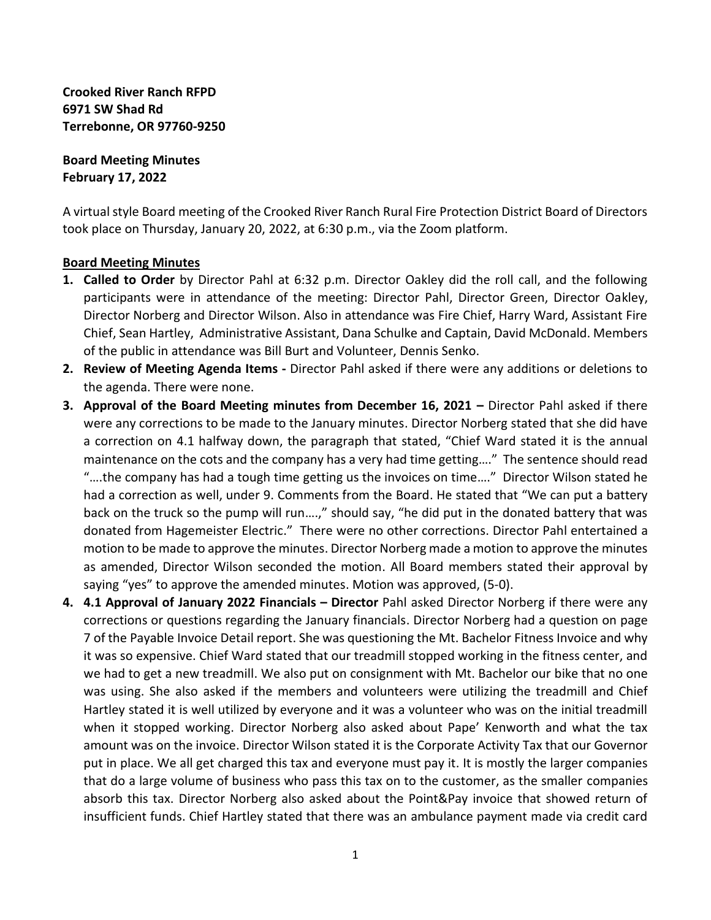**Crooked River Ranch RFPD 6971 SW Shad Rd Terrebonne, OR 97760-9250**

**Board Meeting Minutes February 17, 2022**

A virtual style Board meeting of the Crooked River Ranch Rural Fire Protection District Board of Directors took place on Thursday, January 20, 2022, at 6:30 p.m., via the Zoom platform.

## **Board Meeting Minutes**

- **1. Called to Order** by Director Pahl at 6:32 p.m. Director Oakley did the roll call, and the following participants were in attendance of the meeting: Director Pahl, Director Green, Director Oakley, Director Norberg and Director Wilson. Also in attendance was Fire Chief, Harry Ward, Assistant Fire Chief, Sean Hartley, Administrative Assistant, Dana Schulke and Captain, David McDonald. Members of the public in attendance was Bill Burt and Volunteer, Dennis Senko.
- **2. Review of Meeting Agenda Items -** Director Pahl asked if there were any additions or deletions to the agenda. There were none.
- **3. Approval of the Board Meeting minutes from December 16, 2021 Director Pahl asked if there** were any corrections to be made to the January minutes. Director Norberg stated that she did have a correction on 4.1 halfway down, the paragraph that stated, "Chief Ward stated it is the annual maintenance on the cots and the company has a very had time getting…." The sentence should read "….the company has had a tough time getting us the invoices on time…." Director Wilson stated he had a correction as well, under 9. Comments from the Board. He stated that "We can put a battery back on the truck so the pump will run….," should say, "he did put in the donated battery that was donated from Hagemeister Electric." There were no other corrections. Director Pahl entertained a motion to be made to approve the minutes. Director Norberg made a motion to approve the minutes as amended, Director Wilson seconded the motion. All Board members stated their approval by saying "yes" to approve the amended minutes. Motion was approved, (5-0).
- **4. 4.1 Approval of January 2022 Financials – Director** Pahl asked Director Norberg if there were any corrections or questions regarding the January financials. Director Norberg had a question on page 7 of the Payable Invoice Detail report. She was questioning the Mt. Bachelor Fitness Invoice and why it was so expensive. Chief Ward stated that our treadmill stopped working in the fitness center, and we had to get a new treadmill. We also put on consignment with Mt. Bachelor our bike that no one was using. She also asked if the members and volunteers were utilizing the treadmill and Chief Hartley stated it is well utilized by everyone and it was a volunteer who was on the initial treadmill when it stopped working. Director Norberg also asked about Pape' Kenworth and what the tax amount was on the invoice. Director Wilson stated it is the Corporate Activity Tax that our Governor put in place. We all get charged this tax and everyone must pay it. It is mostly the larger companies that do a large volume of business who pass this tax on to the customer, as the smaller companies absorb this tax. Director Norberg also asked about the Point&Pay invoice that showed return of insufficient funds. Chief Hartley stated that there was an ambulance payment made via credit card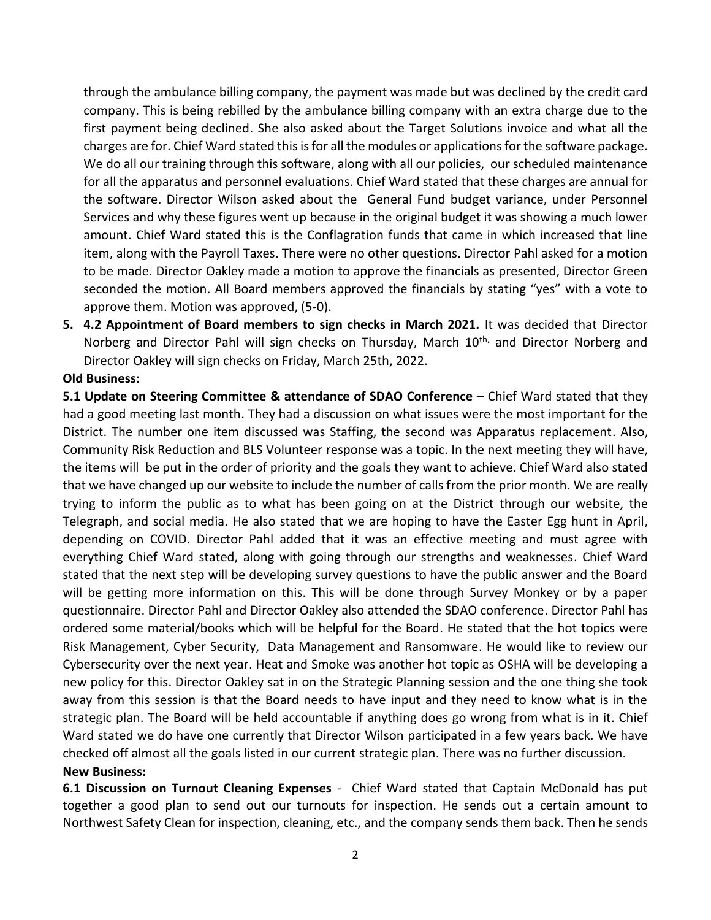through the ambulance billing company, the payment was made but was declined by the credit card company. This is being rebilled by the ambulance billing company with an extra charge due to the first payment being declined. She also asked about the Target Solutions invoice and what all the charges are for. Chief Ward stated this is for all the modules or applications for the software package. We do all our training through this software, along with all our policies, our scheduled maintenance for all the apparatus and personnel evaluations. Chief Ward stated that these charges are annual for the software. Director Wilson asked about the General Fund budget variance, under Personnel Services and why these figures went up because in the original budget it was showing a much lower amount. Chief Ward stated this is the Conflagration funds that came in which increased that line item, along with the Payroll Taxes. There were no other questions. Director Pahl asked for a motion to be made. Director Oakley made a motion to approve the financials as presented, Director Green seconded the motion. All Board members approved the financials by stating "yes" with a vote to approve them. Motion was approved, (5-0).

**5. 4.2 Appointment of Board members to sign checks in March 2021.** It was decided that Director Norberg and Director Pahl will sign checks on Thursday, March 10<sup>th,</sup> and Director Norberg and Director Oakley will sign checks on Friday, March 25th, 2022.

## **Old Business:**

**5.1 Update on Steering Committee & attendance of SDAO Conference –** Chief Ward stated that they had a good meeting last month. They had a discussion on what issues were the most important for the District. The number one item discussed was Staffing, the second was Apparatus replacement. Also, Community Risk Reduction and BLS Volunteer response was a topic. In the next meeting they will have, the items will be put in the order of priority and the goals they want to achieve. Chief Ward also stated that we have changed up our website to include the number of calls from the prior month. We are really trying to inform the public as to what has been going on at the District through our website, the Telegraph, and social media. He also stated that we are hoping to have the Easter Egg hunt in April, depending on COVID. Director Pahl added that it was an effective meeting and must agree with everything Chief Ward stated, along with going through our strengths and weaknesses. Chief Ward stated that the next step will be developing survey questions to have the public answer and the Board will be getting more information on this. This will be done through Survey Monkey or by a paper questionnaire. Director Pahl and Director Oakley also attended the SDAO conference. Director Pahl has ordered some material/books which will be helpful for the Board. He stated that the hot topics were Risk Management, Cyber Security, Data Management and Ransomware. He would like to review our Cybersecurity over the next year. Heat and Smoke was another hot topic as OSHA will be developing a new policy for this. Director Oakley sat in on the Strategic Planning session and the one thing she took away from this session is that the Board needs to have input and they need to know what is in the strategic plan. The Board will be held accountable if anything does go wrong from what is in it. Chief Ward stated we do have one currently that Director Wilson participated in a few years back. We have checked off almost all the goals listed in our current strategic plan. There was no further discussion. **New Business:**

**6.1 Discussion on Turnout Cleaning Expenses** - Chief Ward stated that Captain McDonald has put together a good plan to send out our turnouts for inspection. He sends out a certain amount to Northwest Safety Clean for inspection, cleaning, etc., and the company sends them back. Then he sends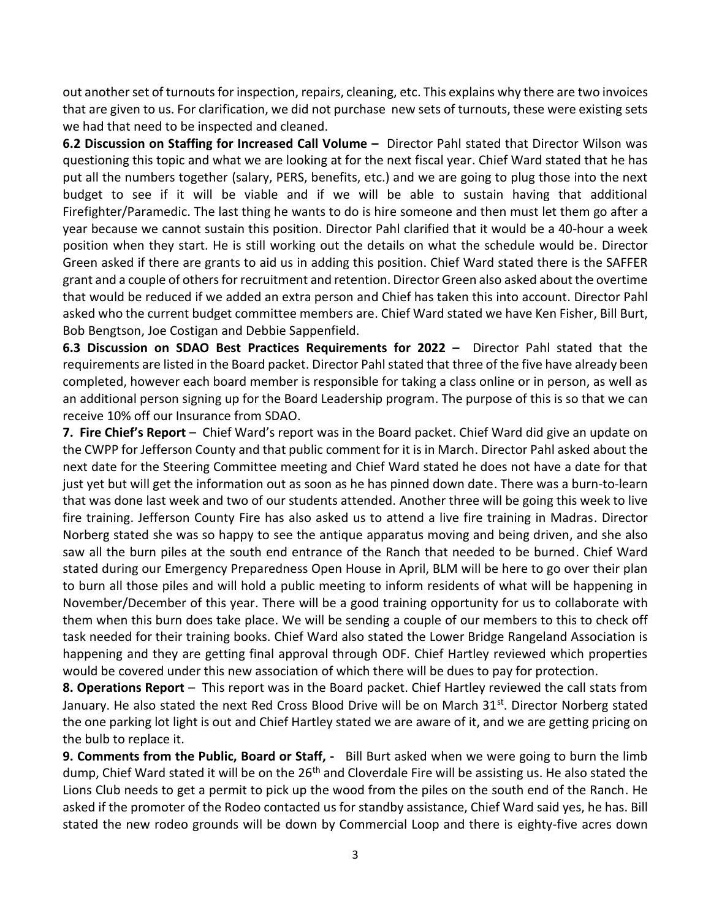out another set of turnouts for inspection, repairs, cleaning, etc. This explains why there are two invoices that are given to us. For clarification, we did not purchase new sets of turnouts, these were existing sets we had that need to be inspected and cleaned.

**6.2 Discussion on Staffing for Increased Call Volume –** Director Pahl stated that Director Wilson was questioning this topic and what we are looking at for the next fiscal year. Chief Ward stated that he has put all the numbers together (salary, PERS, benefits, etc.) and we are going to plug those into the next budget to see if it will be viable and if we will be able to sustain having that additional Firefighter/Paramedic. The last thing he wants to do is hire someone and then must let them go after a year because we cannot sustain this position. Director Pahl clarified that it would be a 40-hour a week position when they start. He is still working out the details on what the schedule would be. Director Green asked if there are grants to aid us in adding this position. Chief Ward stated there is the SAFFER grant and a couple of othersfor recruitment and retention. Director Green also asked about the overtime that would be reduced if we added an extra person and Chief has taken this into account. Director Pahl asked who the current budget committee members are. Chief Ward stated we have Ken Fisher, Bill Burt, Bob Bengtson, Joe Costigan and Debbie Sappenfield.

**6.3 Discussion on SDAO Best Practices Requirements for 2022 –** Director Pahl stated that the requirements are listed in the Board packet. Director Pahl stated that three of the five have already been completed, however each board member is responsible for taking a class online or in person, as well as an additional person signing up for the Board Leadership program. The purpose of this is so that we can receive 10% off our Insurance from SDAO.

**7. Fire Chief's Report** – Chief Ward's report was in the Board packet. Chief Ward did give an update on the CWPP for Jefferson County and that public comment for it is in March. Director Pahl asked about the next date for the Steering Committee meeting and Chief Ward stated he does not have a date for that just yet but will get the information out as soon as he has pinned down date. There was a burn-to-learn that was done last week and two of our students attended. Another three will be going this week to live fire training. Jefferson County Fire has also asked us to attend a live fire training in Madras. Director Norberg stated she was so happy to see the antique apparatus moving and being driven, and she also saw all the burn piles at the south end entrance of the Ranch that needed to be burned. Chief Ward stated during our Emergency Preparedness Open House in April, BLM will be here to go over their plan to burn all those piles and will hold a public meeting to inform residents of what will be happening in November/December of this year. There will be a good training opportunity for us to collaborate with them when this burn does take place. We will be sending a couple of our members to this to check off task needed for their training books. Chief Ward also stated the Lower Bridge Rangeland Association is happening and they are getting final approval through ODF. Chief Hartley reviewed which properties would be covered under this new association of which there will be dues to pay for protection.

**8. Operations Report** – This report was in the Board packet. Chief Hartley reviewed the call stats from January. He also stated the next Red Cross Blood Drive will be on March 31<sup>st</sup>. Director Norberg stated the one parking lot light is out and Chief Hartley stated we are aware of it, and we are getting pricing on the bulb to replace it.

**9. Comments from the Public, Board or Staff, -** Bill Burt asked when we were going to burn the limb dump, Chief Ward stated it will be on the 26<sup>th</sup> and Cloverdale Fire will be assisting us. He also stated the Lions Club needs to get a permit to pick up the wood from the piles on the south end of the Ranch. He asked if the promoter of the Rodeo contacted us for standby assistance, Chief Ward said yes, he has. Bill stated the new rodeo grounds will be down by Commercial Loop and there is eighty-five acres down